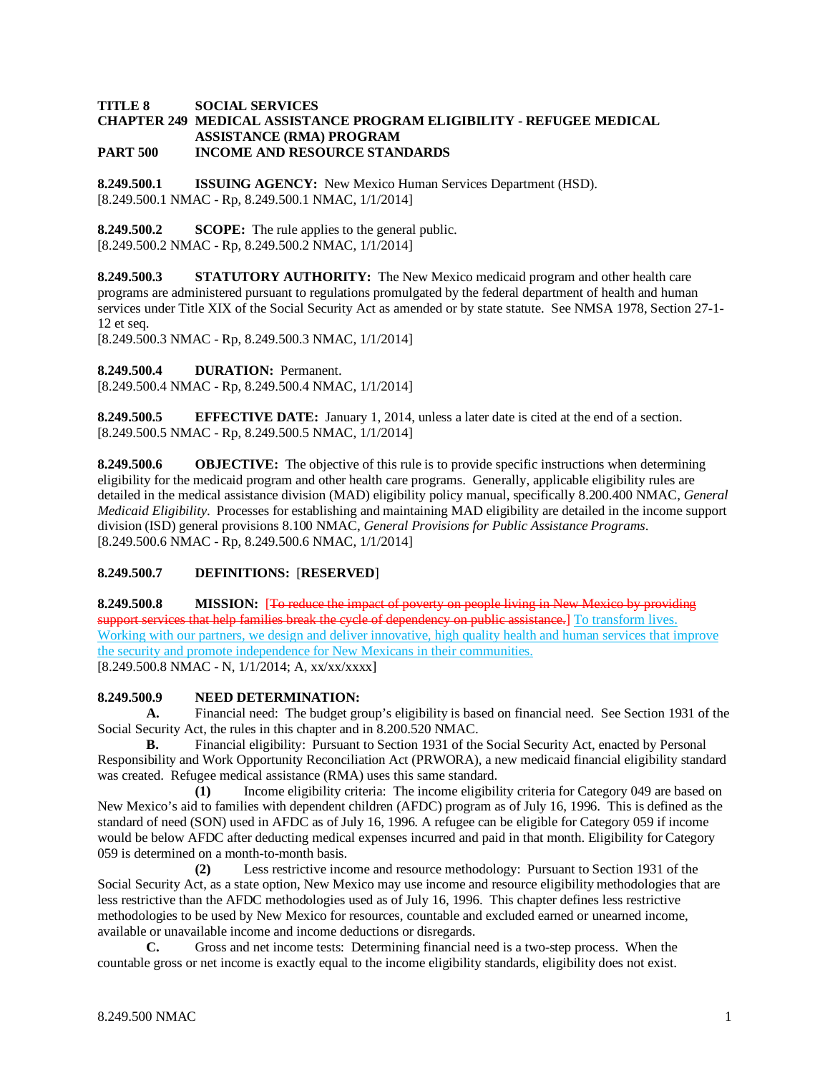#### **TITLE 8 SOCIAL SERVICES CHAPTER 249 MEDICAL ASSISTANCE PROGRAM ELIGIBILITY - REFUGEE MEDICAL ASSISTANCE (RMA) PROGRAM PART 500 INCOME AND RESOURCE STANDARDS**

**8.249.500.1 ISSUING AGENCY:** New Mexico Human Services Department (HSD). [8.249.500.1 NMAC - Rp, 8.249.500.1 NMAC, 1/1/2014]

**8.249.500.2 SCOPE:** The rule applies to the general public. [8.249.500.2 NMAC - Rp, 8.249.500.2 NMAC, 1/1/2014]

**8.249.500.3 STATUTORY AUTHORITY:** The New Mexico medicaid program and other health care programs are administered pursuant to regulations promulgated by the federal department of health and human services under Title XIX of the Social Security Act as amended or by state statute. See NMSA 1978, Section 27-1- 12 et seq.

[8.249.500.3 NMAC - Rp, 8.249.500.3 NMAC, 1/1/2014]

**8.249.500.4 DURATION:** Permanent.

[8.249.500.4 NMAC - Rp, 8.249.500.4 NMAC, 1/1/2014]

**8.249.500.5 EFFECTIVE DATE:** January 1, 2014, unless a later date is cited at the end of a section. [8.249.500.5 NMAC - Rp, 8.249.500.5 NMAC, 1/1/2014]

**8.249.500.6 OBJECTIVE:** The objective of this rule is to provide specific instructions when determining eligibility for the medicaid program and other health care programs. Generally, applicable eligibility rules are detailed in the medical assistance division (MAD) eligibility policy manual, specifically 8.200.400 NMAC, *General Medicaid Eligibility*. Processes for establishing and maintaining MAD eligibility are detailed in the income support division (ISD) general provisions 8.100 NMAC, *General Provisions for Public Assistance Programs*. [8.249.500.6 NMAC - Rp, 8.249.500.6 NMAC, 1/1/2014]

# **8.249.500.7 DEFINITIONS:** [**RESERVED**]

**8.249.500.8 MISSION:** [To reduce the impact of poverty on people living in New Mexico by providing support services that help families break the cycle of dependency on public assistance.] To transform lives. Working with our partners, we design and deliver innovative, high quality health and human services that improve the security and promote independence for New Mexicans in their communities.  $[8.249.500.8 \text{ NMAC - N}$ ,  $1/1/2014$ ; A,  $xx/xx/xxxx$ ]

#### **8.249.500.9 NEED DETERMINATION:**

**A.** Financial need: The budget group's eligibility is based on financial need. See Section 1931 of the Social Security Act, the rules in this chapter and in 8.200.520 NMAC.

**B.** Financial eligibility: Pursuant to Section 1931 of the Social Security Act, enacted by Personal Responsibility and Work Opportunity Reconciliation Act (PRWORA), a new medicaid financial eligibility standard was created. Refugee medical assistance (RMA) uses this same standard.

**(1)** Income eligibility criteria: The income eligibility criteria for Category 049 are based on New Mexico's aid to families with dependent children (AFDC) program as of July 16, 1996. This is defined as the standard of need (SON) used in AFDC as of July 16, 1996. A refugee can be eligible for Category 059 if income would be below AFDC after deducting medical expenses incurred and paid in that month. Eligibility for Category 059 is determined on a month-to-month basis.

**(2)** Less restrictive income and resource methodology: Pursuant to Section 1931 of the Social Security Act, as a state option, New Mexico may use income and resource eligibility methodologies that are less restrictive than the AFDC methodologies used as of July 16, 1996. This chapter defines less restrictive methodologies to be used by New Mexico for resources, countable and excluded earned or unearned income, available or unavailable income and income deductions or disregards.

**C.** Gross and net income tests: Determining financial need is a two-step process. When the countable gross or net income is exactly equal to the income eligibility standards, eligibility does not exist.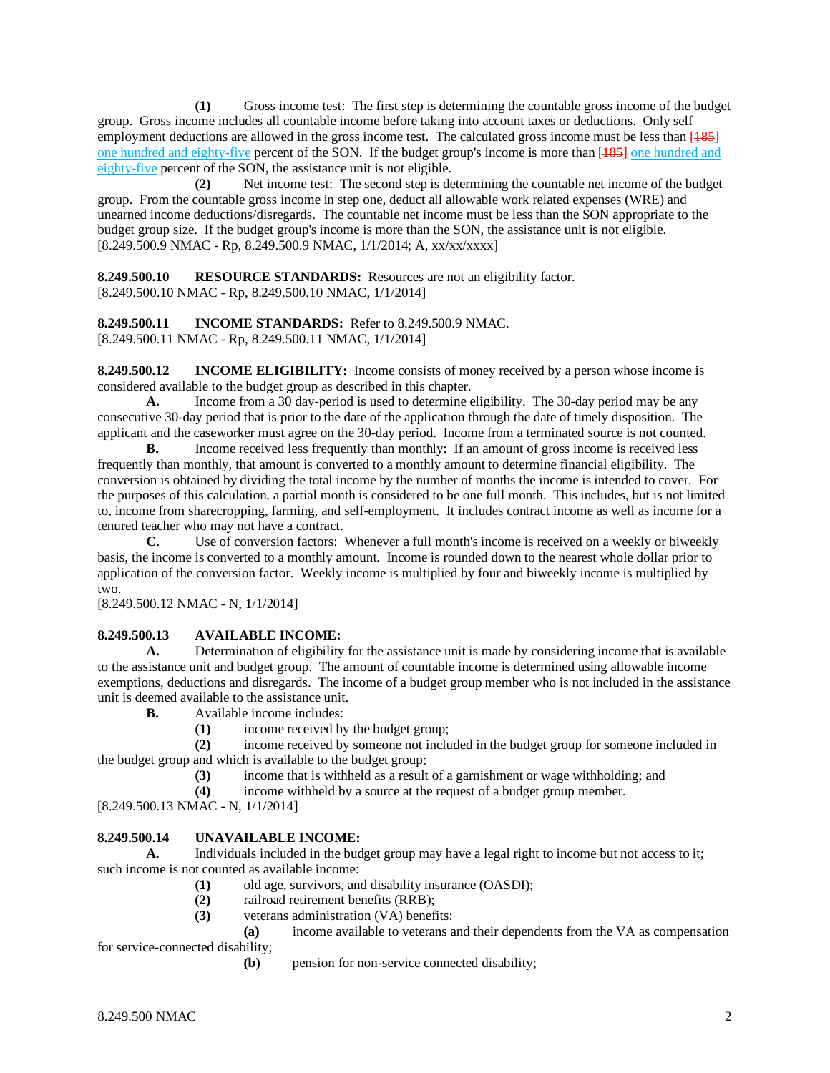**(1)** Gross income test: The first step is determining the countable gross income of the budget group. Gross income includes all countable income before taking into account taxes or deductions. Only self employment deductions are allowed in the gross income test. The calculated gross income must be less than [185] one hundred and eighty-five percent of the SON. If the budget group's income is more than [185] one hundred and eighty-five percent of the SON, the assistance unit is not eligible.

**(2)** Net income test: The second step is determining the countable net income of the budget group. From the countable gross income in step one, deduct all allowable work related expenses (WRE) and unearned income deductions/disregards. The countable net income must be less than the SON appropriate to the budget group size. If the budget group's income is more than the SON, the assistance unit is not eligible. [8.249.500.9 NMAC - Rp, 8.249.500.9 NMAC, 1/1/2014; A, xx/xx/xxxx]

**8.249.500.10 RESOURCE STANDARDS:** Resources are not an eligibility factor. [8.249.500.10 NMAC - Rp, 8.249.500.10 NMAC, 1/1/2014]

**8.249.500.11 INCOME STANDARDS:** Refer to 8.249.500.9 NMAC. [8.249.500.11 NMAC - Rp, 8.249.500.11 NMAC, 1/1/2014]

**8.249.500.12 INCOME ELIGIBILITY:** Income consists of money received by a person whose income is considered available to the budget group as described in this chapter.

**A.** Income from a 30 day-period is used to determine eligibility. The 30-day period may be any consecutive 30-day period that is prior to the date of the application through the date of timely disposition. The applicant and the caseworker must agree on the 30-day period. Income from a terminated source is not counted.

**B.** Income received less frequently than monthly: If an amount of gross income is received less frequently than monthly, that amount is converted to a monthly amount to determine financial eligibility. The conversion is obtained by dividing the total income by the number of months the income is intended to cover. For the purposes of this calculation, a partial month is considered to be one full month. This includes, but is not limited to, income from sharecropping, farming, and self-employment. It includes contract income as well as income for a tenured teacher who may not have a contract.

**C.** Use of conversion factors: Whenever a full month's income is received on a weekly or biweekly basis, the income is converted to a monthly amount. Income is rounded down to the nearest whole dollar prior to application of the conversion factor. Weekly income is multiplied by four and biweekly income is multiplied by two.

[8.249.500.12 NMAC - N, 1/1/2014]

# **8.249.500.13 AVAILABLE INCOME:**

**A.** Determination of eligibility for the assistance unit is made by considering income that is available to the assistance unit and budget group. The amount of countable income is determined using allowable income exemptions, deductions and disregards. The income of a budget group member who is not included in the assistance unit is deemed available to the assistance unit.

**B.** Available income includes:

**(1)** income received by the budget group;

**(2)** income received by someone not included in the budget group for someone included in the budget group and which is available to the budget group;

**(3)** income that is withheld as a result of a garnishment or wage withholding; and

**(4)** income withheld by a source at the request of a budget group member.

[8.249.500.13 NMAC - N, 1/1/2014]

# **8.249.500.14 UNAVAILABLE INCOME:**

**A.** Individuals included in the budget group may have a legal right to income but not access to it; such income is not counted as available income:

- **(1)** old age, survivors, and disability insurance (OASDI);
- **(2)** railroad retirement benefits (RRB);
- (3) veterans administration (VA) benefits:<br>(a) income available to veterans a

**(a)** income available to veterans and their dependents from the VA as compensation for service-connected disability;

**(b)** pension for non-service connected disability;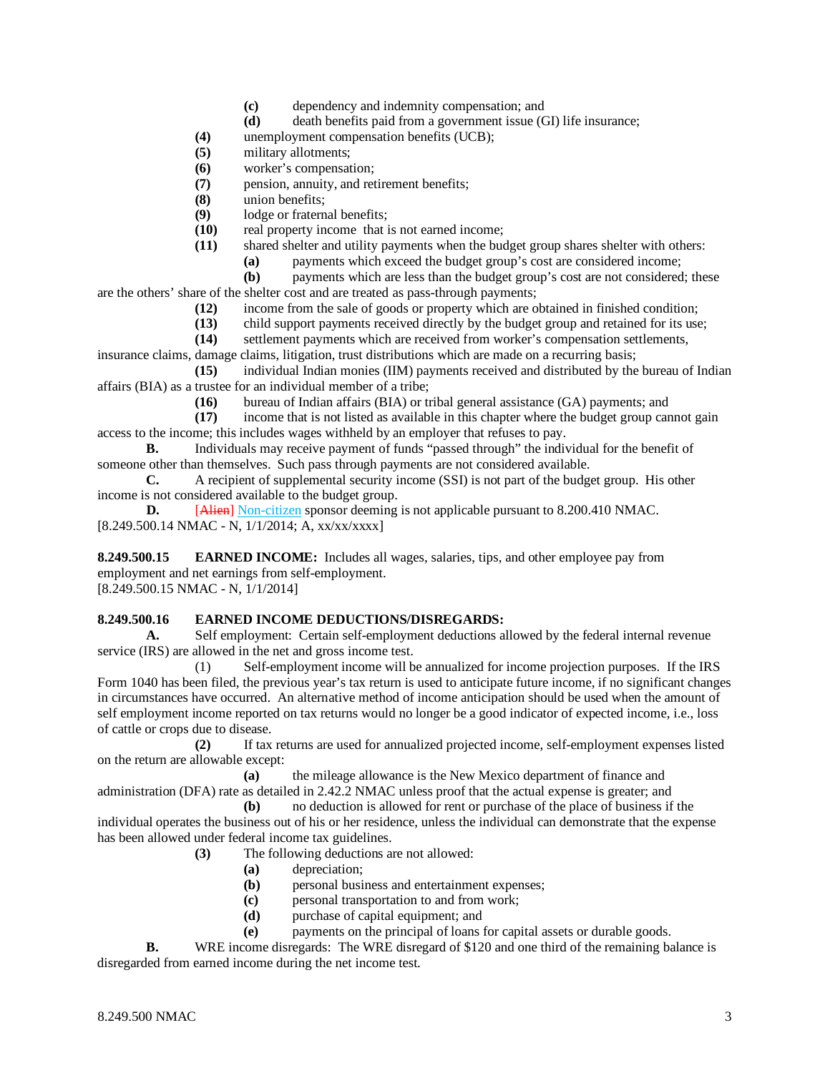- **(c)** dependency and indemnity compensation; and
- **(d)** death benefits paid from a government issue (GI) life insurance;
- **(4)** unemployment compensation benefits (UCB);
- **(5)** military allotments;
- **(6)** worker's compensation;
- **(7)** pension, annuity, and retirement benefits;
- **(8)** union benefits;
- (9) lodge or fraternal benefits;<br>(10) real property income that i
- (10) real property income that is not earned income;<br>(11) shared shelter and utility payments when the bud
	- shared shelter and utility payments when the budget group shares shelter with others:
		- **(a)** payments which exceed the budget group's cost are considered income;

**(b)** payments which are less than the budget group's cost are not considered; these are the others' share of the shelter cost and are treated as pass-through payments;

- **(12)** income from the sale of goods or property which are obtained in finished condition;
- **(13)** child support payments received directly by the budget group and retained for its use;
- **(14)** settlement payments which are received from worker's compensation settlements,

insurance claims, damage claims, litigation, trust distributions which are made on a recurring basis; **(15)** individual Indian monies (IIM) payments received and distributed by the bureau of Indian

- affairs (BIA) as a trustee for an individual member of a tribe;
	- **(16)** bureau of Indian affairs (BIA) or tribal general assistance (GA) payments; and

income that is not listed as available in this chapter where the budget group cannot gain access to the income; this includes wages withheld by an employer that refuses to pay.

**B.** Individuals may receive payment of funds "passed through" the individual for the benefit of someone other than themselves. Such pass through payments are not considered available.

**C.** A recipient of supplemental security income (SSI) is not part of the budget group. His other income is not considered available to the budget group.

**D.** [Alien] Non-citizen sponsor deeming is not applicable pursuant to 8.200.410 NMAC. [8.249.500.14 NMAC - N, 1/1/2014; A, xx/xx/xxxx]

**8.249.500.15 EARNED INCOME:** Includes all wages, salaries, tips, and other employee pay from employment and net earnings from self-employment.

[8.249.500.15 NMAC - N, 1/1/2014]

#### **8.249.500.16 EARNED INCOME DEDUCTIONS/DISREGARDS:**

**A.** Self employment: Certain self-employment deductions allowed by the federal internal revenue service (IRS) are allowed in the net and gross income test.

(1) Self-employment income will be annualized for income projection purposes. If the IRS Form 1040 has been filed, the previous year's tax return is used to anticipate future income, if no significant changes in circumstances have occurred. An alternative method of income anticipation should be used when the amount of self employment income reported on tax returns would no longer be a good indicator of expected income, i.e., loss of cattle or crops due to disease.

**(2)** If tax returns are used for annualized projected income, self-employment expenses listed on the return are allowable except:

**(a)** the mileage allowance is the New Mexico department of finance and administration (DFA) rate as detailed in 2.42.2 NMAC unless proof that the actual expense is greater; and

**(b)** no deduction is allowed for rent or purchase of the place of business if the individual operates the business out of his or her residence, unless the individual can demonstrate that the expense has been allowed under federal income tax guidelines.

**(3)** The following deductions are not allowed:

- **(a)** depreciation;
- **(b)** personal business and entertainment expenses;
- **(c)** personal transportation to and from work;
- **(d)** purchase of capital equipment; and
- **(e)** payments on the principal of loans for capital assets or durable goods.

**B.** WRE income disregards: The WRE disregard of \$120 and one third of the remaining balance is disregarded from earned income during the net income test.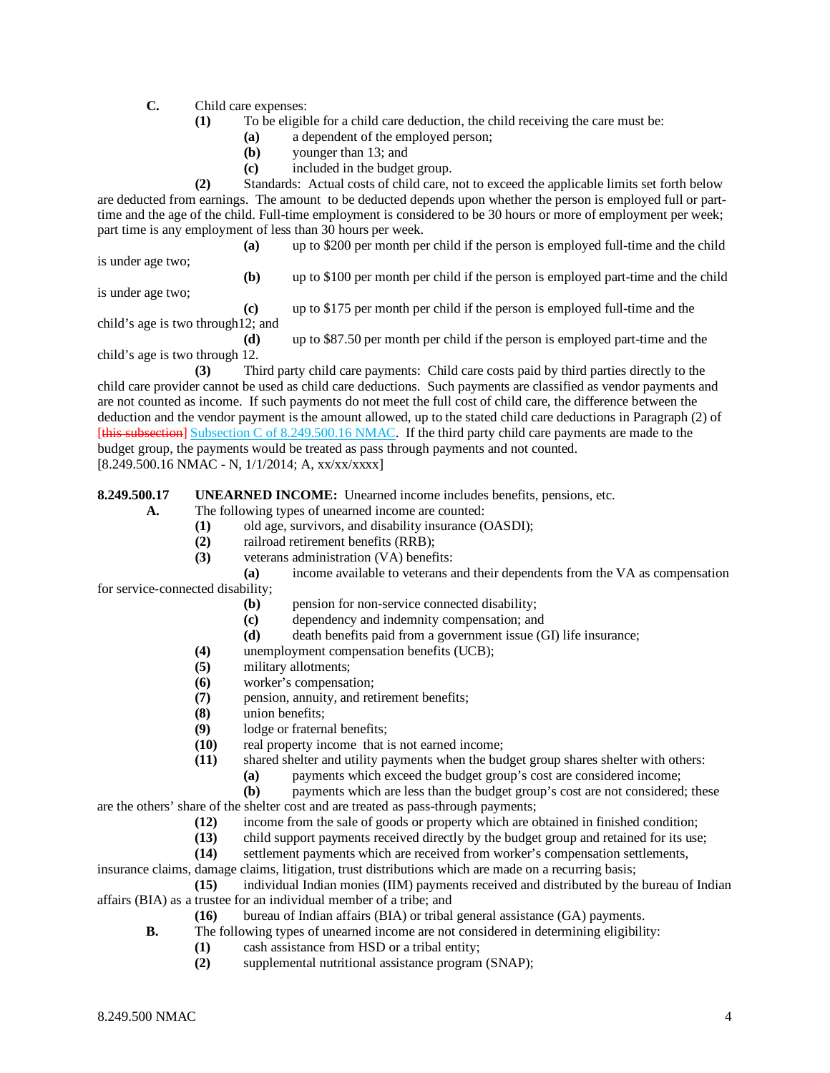**C.** Child care expenses:

- **(1)** To be eligible for a child care deduction, the child receiving the care must be:
	- **(a)** a dependent of the employed person;
	- **(b)** younger than 13; and
	- **(c)** included in the budget group.

**(2)** Standards: Actual costs of child care, not to exceed the applicable limits set forth below are deducted from earnings. The amount to be deducted depends upon whether the person is employed full or parttime and the age of the child. Full-time employment is considered to be 30 hours or more of employment per week; part time is any employment of less than 30 hours per week.

**(a)** up to \$200 per month per child if the person is employed full-time and the child

is under age two;

**(b)** up to \$100 per month per child if the person is employed part-time and the child

is under age two;

**(c)** up to \$175 per month per child if the person is employed full-time and the child's age is two through12; and

**(d)** up to \$87.50 per month per child if the person is employed part-time and the child's age is two through 12.

**(3)** Third party child care payments: Child care costs paid by third parties directly to the child care provider cannot be used as child care deductions. Such payments are classified as vendor payments and are not counted as income. If such payments do not meet the full cost of child care, the difference between the deduction and the vendor payment is the amount allowed, up to the stated child care deductions in Paragraph (2) of [this subsection] Subsection C of 8.249.500.16 NMAC. If the third party child care payments are made to the budget group, the payments would be treated as pass through payments and not counted.

[8.249.500.16 NMAC - N, 1/1/2014; A, xx/xx/xxxx]

**8.249.500.17 UNEARNED INCOME:** Unearned income includes benefits, pensions, etc.

**A.** The following types of unearned income are counted:

- **(1)** old age, survivors, and disability insurance (OASDI);
- **(2)** railroad retirement benefits (RRB);
- **(3)** veterans administration (VA) benefits:

**(a)** income available to veterans and their dependents from the VA as compensation for service-connected disability;

- **(b)** pension for non-service connected disability;
- **(c)** dependency and indemnity compensation; and
- **(d)** death benefits paid from a government issue (GI) life insurance;
- **(4)** unemployment compensation benefits (UCB);
- **(5)** military allotments;
- **(6)** worker's compensation;
- **(7)** pension, annuity, and retirement benefits;
- **(8)** union benefits;
- (9) lodge or fraternal benefits;<br>(10) real property income that i
- real property income that is not earned income;

**(11)** shared shelter and utility payments when the budget group shares shelter with others:

- **(a)** payments which exceed the budget group's cost are considered income;
- **(b)** payments which are less than the budget group's cost are not considered; these are the others' share of the shelter cost and are treated as pass-through payments;

**(12)** income from the sale of goods or property which are obtained in finished condition;

- **(13)** child support payments received directly by the budget group and retained for its use;
- **(14)** settlement payments which are received from worker's compensation settlements,

insurance claims, damage claims, litigation, trust distributions which are made on a recurring basis;

**(15)** individual Indian monies (IIM) payments received and distributed by the bureau of Indian affairs (BIA) as a trustee for an individual member of a tribe; and

- **(16)** bureau of Indian affairs (BIA) or tribal general assistance (GA) payments.
- **B.** The following types of unearned income are not considered in determining eligibility:
	- **(1)** cash assistance from HSD or a tribal entity;
	- **(2)** supplemental nutritional assistance program (SNAP);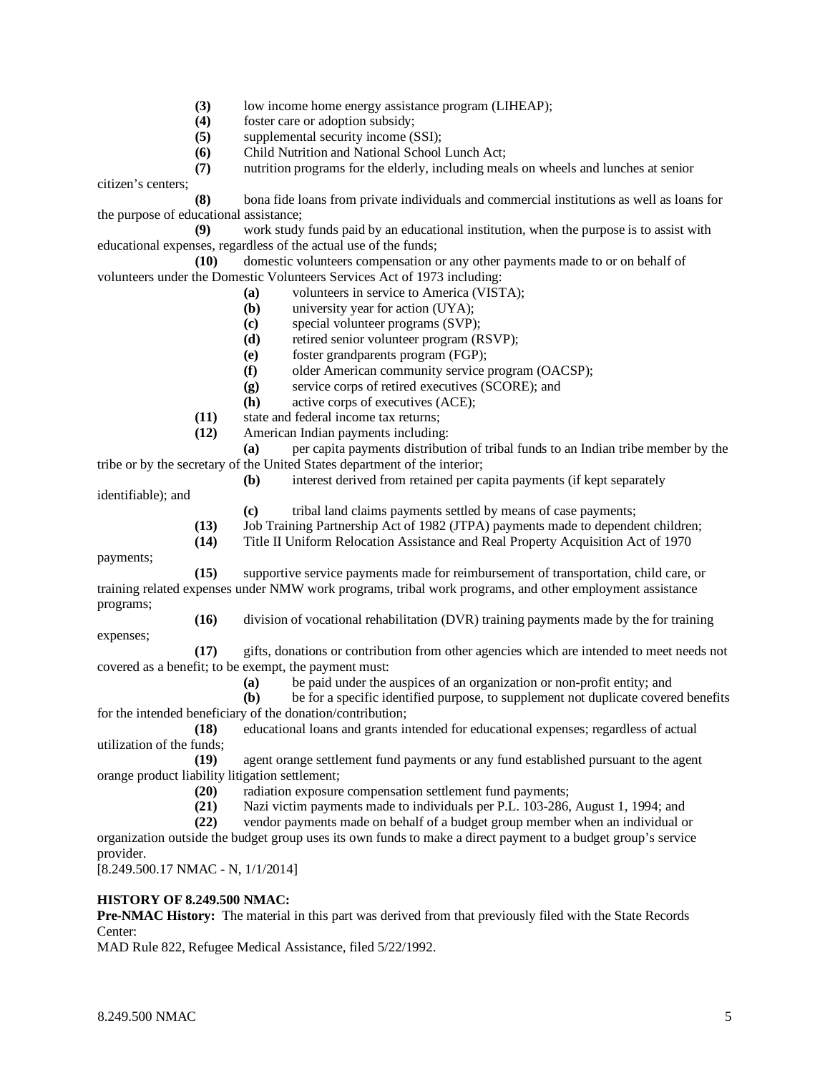- **(3)** low income home energy assistance program (LIHEAP);
- **(4)** foster care or adoption subsidy;
- **(5)** supplemental security income (SSI);
- **(6)** Child Nutrition and National School Lunch Act;

**(7)** nutrition programs for the elderly, including meals on wheels and lunches at senior

citizen's centers;

**(8)** bona fide loans from private individuals and commercial institutions as well as loans for the purpose of educational assistance;

**(9)** work study funds paid by an educational institution, when the purpose is to assist with educational expenses, regardless of the actual use of the funds;

**(10)** domestic volunteers compensation or any other payments made to or on behalf of volunteers under the Domestic Volunteers Services Act of 1973 including:

- **(a)** volunteers in service to America (VISTA);
- **(b)** university year for action (UYA);
- **(c)** special volunteer programs (SVP);
- **(d)** retired senior volunteer program (RSVP);
- **(e)** foster grandparents program (FGP);
- **(f)** older American community service program (OACSP);
- **(g)** service corps of retired executives (SCORE); and
- **(h)** active corps of executives (ACE);
- **(11)** state and federal income tax returns;
- **(12)** American Indian payments including:

**(a)** per capita payments distribution of tribal funds to an Indian tribe member by the tribe or by the secretary of the United States department of the interior;

**(b)** interest derived from retained per capita payments (if kept separately

identifiable); and

- **(c)** tribal land claims payments settled by means of case payments;
- **(13)** Job Training Partnership Act of 1982 (JTPA) payments made to dependent children;
- **(14)** Title II Uniform Relocation Assistance and Real Property Acquisition Act of 1970

payments;

**(15)** supportive service payments made for reimbursement of transportation, child care, or training related expenses under NMW work programs, tribal work programs, and other employment assistance programs; **(16)** division of vocational rehabilitation (DVR) training payments made by the for training

expenses;

**(17)** gifts, donations or contribution from other agencies which are intended to meet needs not covered as a benefit; to be exempt, the payment must:

- **(a)** be paid under the auspices of an organization or non-profit entity; and
- **(b)** be for a specific identified purpose, to supplement not duplicate covered benefits for the intended beneficiary of the donation/contribution;

**(18)** educational loans and grants intended for educational expenses; regardless of actual utilization of the funds;

**(19)** agent orange settlement fund payments or any fund established pursuant to the agent orange product liability litigation settlement;

- (20) radiation exposure compensation settlement fund payments;<br>(21) Nazi victim payments made to individuals per P.L. 103-286,
- Nazi victim payments made to individuals per P.L. 103-286, August 1, 1994; and
- **(22)** vendor payments made on behalf of a budget group member when an individual or

organization outside the budget group uses its own funds to make a direct payment to a budget group's service provider.

[8.249.500.17 NMAC - N, 1/1/2014]

# **HISTORY OF 8.249.500 NMAC:**

**Pre-NMAC History:** The material in this part was derived from that previously filed with the State Records Center:

MAD Rule 822, Refugee Medical Assistance, filed 5/22/1992.